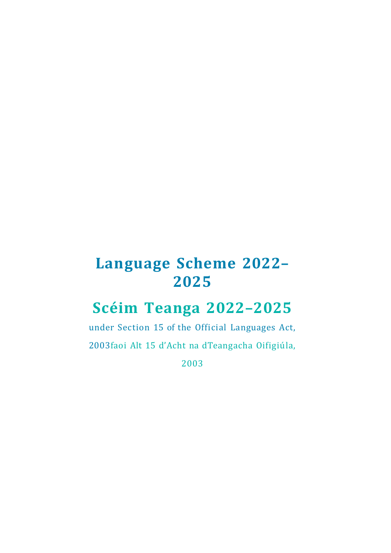# **Language Scheme 2022– 2025**

# **Scéim Teanga 2022–2025**

under Section 15 of the Official Languages Act,

2003faoi Alt 15 d'Acht na dTeangacha Oifigiúla,

2003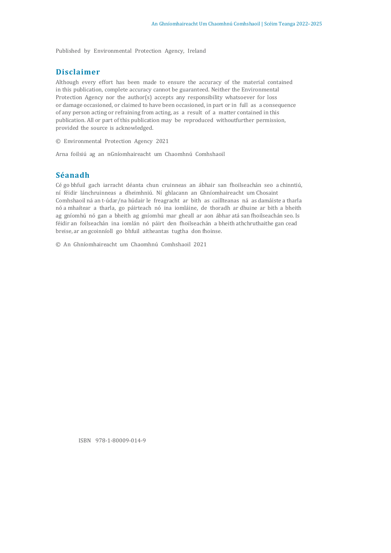Published by Environmental Protection Agency, Ireland

#### **Disclaimer**

Although every effort has been made to ensure the accuracy of the material contained in this publication, complete accuracy cannot be guaranteed. Neither the Environmental Protection Agency nor the author(s) accepts any responsibility whatsoever for loss or damage occasioned, or claimed to have been occasioned, in part or in full as a consequence of any person acting or refraining from acting, as a result of a matter contained in this publication. All or part of this publication may be reproduced withoutfurther permission, provided the source is acknowledged.

© Environmental Protection Agency 2021

Arna foilsiú ag an nGníomhaireacht um Chaomhnú Comhshaoil

#### **Séanadh**

Cé go bhfuil gach iarracht déanta chun cruinneas an ábhair san fhoilseachán seo a chinntiú, ní féidir lánchruinneas a dheimhniú. Ní ghlacann an Ghníomhaireacht um Chosaint Comhshaoil ná an t-údar/na húdair le freagracht ar bith as caillteanas ná as damáiste a tharla nó a mhaítear a tharla, go páirteach nó ina iomláine, de thoradh ar dhuine ar bith a bheith ag gníomhú nó gan a bheith ag gníomhú mar gheall ar aon ábhar atá san fhoilseachán seo. Is féidir an foilseachán ina iomlán nó páirt den fhoilseachán a bheith athchruthaithe gan cead breise, ar an gcoinníoll go bhfuil aitheantas tugtha don fhoinse.

© An Ghníomhaireacht um Chaomhnú Comhshaoil 2021

ISBN 978-1-80009-014-9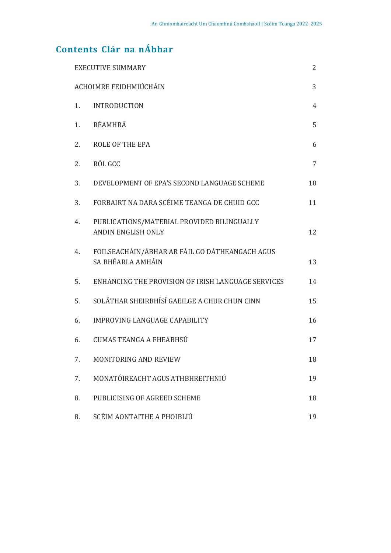# **Contents Clár na nÁbhar**

| <b>EXECUTIVE SUMMARY</b> |                                                                         | 2              |
|--------------------------|-------------------------------------------------------------------------|----------------|
| ACHOIMRE FEIDHMIÚCHÁIN   |                                                                         | 3              |
| 1.                       | <b>INTRODUCTION</b>                                                     | $\overline{4}$ |
| 1.                       | RÉAMHRÁ                                                                 | 5              |
| 2.                       | <b>ROLE OF THE EPA</b>                                                  | 6              |
| 2.                       | RÓL GCC                                                                 | 7              |
| 3.                       | DEVELOPMENT OF EPA'S SECOND LANGUAGE SCHEME                             | 10             |
| 3.                       | FORBAIRT NA DARA SCÉIME TEANGA DE CHUID GCC                             | 11             |
| 4.                       | PUBLICATIONS/MATERIAL PROVIDED BILINGUALLY<br><b>ANDIN ENGLISH ONLY</b> | 12             |
| 4.                       | FOILSEACHÁIN/ÁBHAR AR FÁIL GO DÁTHEANGACH AGUS<br>SA BHÉARLA AMHÁIN     | 13             |
| 5.                       | ENHANCING THE PROVISION OF IRISH LANGUAGE SERVICES                      | 14             |
| 5.                       | SOLÁTHAR SHEIRBHÍSÍ GAEILGE A CHUR CHUN CINN                            | 15             |
| 6.                       | <b>IMPROVING LANGUAGE CAPABILITY</b>                                    | 16             |
| 6.                       | <b>CUMAS TEANGA A FHEABHSÚ</b>                                          | 17             |
| 7.                       | MONITORING AND REVIEW                                                   | 18             |
| 7.                       | MONATÓIREACHT AGUS ATHBHREITHNIÚ                                        | 19             |
| 8.                       | PUBLICISING OF AGREED SCHEME                                            | 18             |
| 8.                       | SCÉIM AONTAITHE A PHOIBLIÚ                                              | 19             |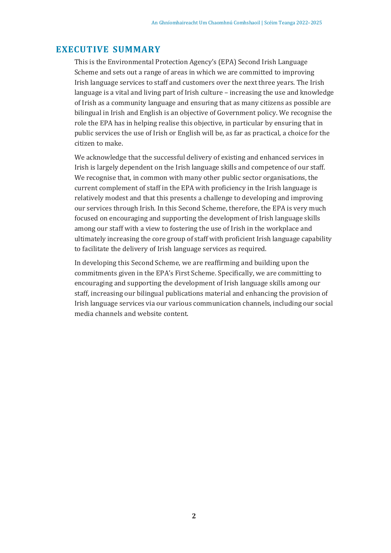### **EXECUTIVE SUMMARY**

This is the Environmental Protection Agency's (EPA) Second Irish Language Scheme and sets out a range of areas in which we are committed to improving Irish language services to staff and customers over the next three years. The Irish language is a vital and living part of Irish culture – increasing the use and knowledge of Irish as a community language and ensuring that as many citizens as possible are bilingual in Irish and English is an objective of Government policy. We recognise the role the EPA has in helping realise this objective, in particular by ensuring that in public services the use of Irish or English will be, as far as practical, a choice for the citizen to make.

We acknowledge that the successful delivery of existing and enhanced services in Irish is largely dependent on the Irish language skills and competence of our staff. We recognise that, in common with many other public sector organisations, the current complement of staff in the EPA with proficiency in the Irish language is relatively modest and that this presents a challenge to developing and improving our services through Irish. In this Second Scheme, therefore, the EPA is very much focused on encouraging and supporting the development of Irish language skills among our staff with a view to fostering the use of Irish in the workplace and ultimately increasing the core group of staff with proficient Irish language capability to facilitate the delivery of Irish language services as required.

In developing this Second Scheme, we are reaffirming and building upon the commitments given in the EPA's First Scheme. Specifically, we are committing to encouraging and supporting the development of Irish language skills among our staff, increasing our bilingual publications material and enhancing the provision of Irish language services via our various communication channels, including our social media channels and website content.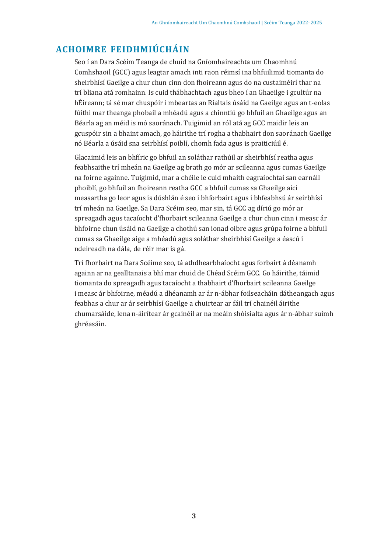# **ACHOIMRE FEIDHMIÚCHÁIN**

Seo í an Dara Scéim Teanga de chuid na Gníomhaireachta um Chaomhnú Comhshaoil (GCC) agus leagtar amach inti raon réimsí ina bhfuilimid tiomanta do sheirbhísí Gaeilge a chur chun cinn don fhoireann agus do na custaiméirí thar na trí bliana atá romhainn. Is cuid thábhachtach agus bheo í an Ghaeilge i gcultúr na hÉireann; tá sé mar chuspóir i mbeartas an Rialtais úsáid na Gaeilge agus an t-eolas fúithi mar theanga phobail a mhéadú agus a chinntiú go bhfuil an Ghaeilge agus an Béarla ag an méid is mó saoránach. Tuigimid an ról atá ag GCC maidir leis an gcuspóir sin a bhaint amach, go háirithe trí rogha a thabhairt don saoránach Gaeilge nó Béarla a úsáid sna seirbhísí poiblí, chomh fada agus is praiticiúil é.

Glacaimid leis an bhfíric go bhfuil an soláthar rathúil ar sheirbhísí reatha agus feabhsaithe trí mheán na Gaeilge ag brath go mór ar scileanna agus cumas Gaeilge na foirne againne. Tuigimid, mar a chéile le cuid mhaith eagraíochtaí san earnáil phoiblí, go bhfuil an fhoireann reatha GCC a bhfuil cumas sa Ghaeilge aici measartha go leor agus is dúshlán é seo i bhforbairt agus i bhfeabhsú ár seirbhísí trí mheán na Gaeilge. Sa Dara Scéim seo, mar sin, tá GCC ag díriú go mór ar spreagadh agus tacaíocht d'fhorbairt scileanna Gaeilge a chur chun cinn i measc ár bhfoirne chun úsáid na Gaeilge a chothú san ionad oibre agus grúpa foirne a bhfuil cumas sa Ghaeilge aige a mhéadú agus soláthar sheirbhísí Gaeilge a éascú i ndeireadh na dála, de réir mar is gá.

Trí fhorbairt na Dara Scéime seo, tá athdhearbhaíocht agus forbairt á déanamh againn ar na gealltanais a bhí mar chuid de Chéad Scéim GCC. Go háirithe, táimid tiomanta do spreagadh agus tacaíocht a thabhairt d'fhorbairt scileanna Gaeilge i measc ár bhfoirne, méadú a dhéanamh ar ár n-ábhar foilseacháin dátheangach agus feabhas a chur ar ár seirbhísí Gaeilge a chuirtear ar fáil trí chainéil áirithe chumarsáide, lena n-áirítear ár gcainéil ar na meáin shóisialta agus ár n-ábhar suímh ghréasáin.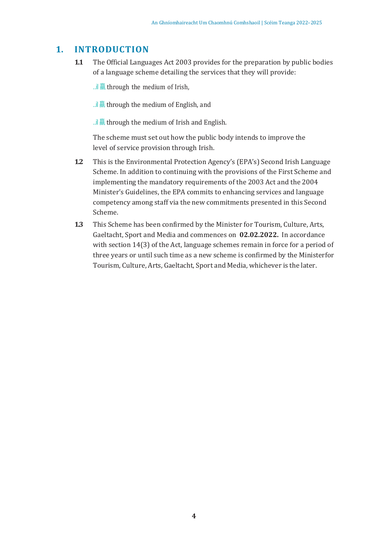### **1. INTRODUCTION**

- **1.1** The Official Languages Act 2003 provides for the preparation by public bodies of a language scheme detailing the services that they will provide:
	- ...il  $\overline{m}$  through the medium of Irish,
	- ... $\frac{1}{2}$  and  $\frac{1}{2}$  if  $\frac{1}{2}$  through the medium of English, and
	- ...il  $\overline{m}$  through the medium of Irish and English.

The scheme must set out how the public body intends to improve the level of service provision through Irish.

- **1.2** This is the Environmental Protection Agency's (EPA's) Second Irish Language Scheme. In addition to continuing with the provisions of the First Scheme and implementing the mandatory requirements of the 2003 Act and the 2004 Minister's Guidelines, the EPA commits to enhancing services and language competency among staff via the new commitments presented in this Second Scheme.
- **1.3** This Scheme has been confirmed by the Minister for Tourism, Culture, Arts, Gaeltacht, Sport and Media and commences on **02.02.2022.** In accordance with section 14(3) of the Act, language schemes remain in force for a period of three years or until such time as a new scheme is confirmed by the Ministerfor Tourism, Culture, Arts, Gaeltacht, Sport and Media, whichever is the later.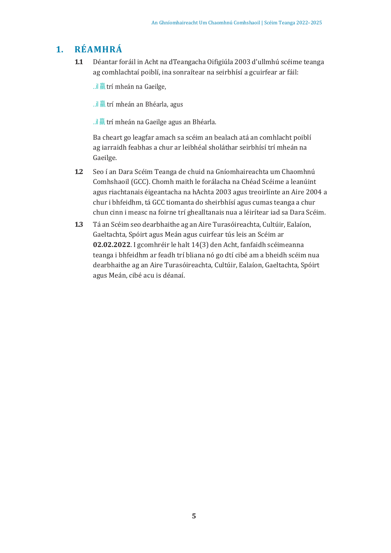# **1. RÉAMHRÁ**

**1.1** Déantar foráil in Acht na dTeangacha Oifigiúla 2003 d'ullmhú scéime teanga ag comhlachtaí poiblí, ina sonraítear na seirbhísí a gcuirfear ar fáil:

..il 羸 trí mheán na Gaeilge,

..il 羸 trí mheán an Bhéarla, agus

..il 羸 trí mheán na Gaeilge agus an Bhéarla.

Ba cheart go leagfar amach sa scéim an bealach atá an comhlacht poiblí ag iarraidh feabhas a chur ar leibhéal sholáthar seirbhísí trí mheán na Gaeilge.

- **1.2** Seo í an Dara Scéim Teanga de chuid na Gníomhaireachta um Chaomhnú Comhshaoil (GCC). Chomh maith le forálacha na Chéad Scéime a leanúint agus riachtanais éigeantacha na hAchta 2003 agus treoirlínte an Aire 2004 a chur i bhfeidhm, tá GCC tiomanta do sheirbhísí agus cumas teanga a chur chun cinn i measc na foirne trí ghealltanais nua a léirítear iad sa Dara Scéim.
- **1.3** Tá an Scéim seo dearbhaithe ag an Aire Turasóireachta, Cultúir, Ealaíon, Gaeltachta, Spóirt agus Meán agus cuirfear tús leis an Scéim ar **02.02.2022**. I gcomhréir le halt 14(3) den Acht, fanfaidh scéimeanna teanga i bhfeidhm ar feadh trí bliana nó go dtí cibé am a bheidh scéim nua dearbhaithe ag an Aire Turasóireachta, Cultúir, Ealaíon, Gaeltachta, Spóirt agus Meán, cibé acu is déanaí.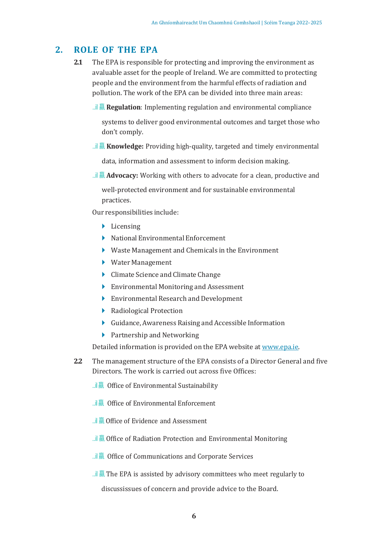### **2. ROLE OF THE EPA**

- **2.1** The EPA is responsible for protecting and improving the environment as avaluable asset for the people of Ireland. We are committed to protecting people and the environment from the harmful effects of radiation and pollution. The work of the EPA can be divided into three main areas:
	- ..il 羸 **Regulation**: Implementing regulation and environmental compliance

systems to deliver good environmental outcomes and target those who don't comply.

..il 羸 **Knowledge:** Providing high-quality, targeted and timely environmental

data, information and assessment to inform decision making.

..il 羸 **Advocacy:** Working with others to advocate for a clean, productive and

well-protected environment and for sustainable environmental practices.

Our responsibilities include:

- ► Licensing
- ► National Environmental Enforcement
- ► Waste Management and Chemicals in the Environment
- ► Water Management
- ► Climate Science and Climate Change
- ► Environmental Monitoring and Assessment
- ► Environmental Research and Development
- ► Radiological Protection
- ► Guidance, Awareness Raising and Accessible Information
- ► Partnership and Networking

Detailed information is provided on the EPA website at www.epa.ie.

- **2.2** The management structure of the EPA consists of a Director General and five Directors. The work is carried out across five Offices:
	- $\cdot$ ..il  $\overline{m}$  Office of Environmental Sustainability
	- ..il 羸 Office of Environmental Enforcement
	- ..il 羸 Office of Evidence and Assessment
	- ..il 羸 Office of Radiation Protection and Environmental Monitoring
	- ..il 羸 Office of Communications and Corporate Services
	- ...il  $\overline{m}$  The EPA is assisted by advisory committees who meet regularly to discussissues of concern and provide advice to the Board.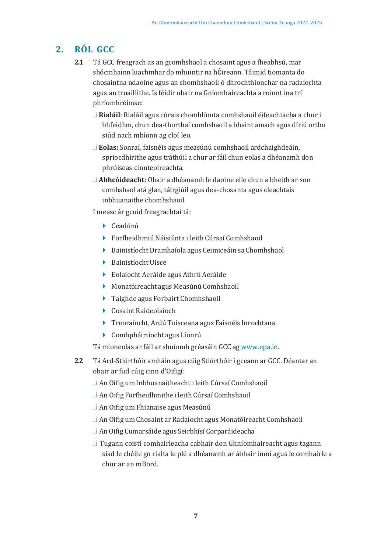# **2. RÓL GCC**

- **2.1** Tá GCC freagrach as an gcomhshaol a chosaint agus a fheabhsú, mar shócmhainn luachmhar do mhuintir na hÉireann. Táimid tiomanta do chosaintna ndaoine agus an chomhshaoil ó dhrochthionchar na radaíochta agus an truaillithe. Is féidir obair na Gníomhaireachta a roinnt ina trí phríomhréimse:
	- ..i **Rialáil**: Rialáil agus córais chomhlíonta comhshaoil éifeachtacha a chur i bhfeidhm, chun dea-thorthaí comhshaoil a bhaint amach agus díriú orthu siúd nach mbíonn ag cloí leo.
	- ..i **Eolas:** Sonraí, faisnéis agus measúnú comhshaoil ardchaighdeáin, spriocdhírithe agus tráthúil a chur ar fáil chun eolas a dhéanamh don phróiseas cinnteoireachta.
	- ..i **Abhcóideacht:** Obair a dhéanamh le daoine eile chun a bheith ar son comhshaol atá glan, táirgiúil agus dea-chosanta agus cleachtais inbhuanaithe chomhshaoil.

I measc ár gcuid freagrachtaí tá:

- ► Ceadúnú
- ► Forfheidhmiú Náisiúnta i leith Cúrsaí Comhshaoil
- ► Bainistíocht Dramhaíola agus Ceimiceáin sa Chomhshaol
- ► Bainistíocht Uisce
- ► Eolaíocht Aeráide agus Athrú Aeráide
- ► Monatóireacht agus Measúnú Comhshaoil
- ► Taighde agus Forbairt Chomhshaoil
- ► Cosaint Raideolaíoch
- ► Treoraíocht, Ardú Tuisceana agus Faisnéis Inrochtana
- ► Comhpháirtíocht agus Líonrú

Tá mioneolas ar fáil ar shuíomh gréasáin GCC ag www.epa.ie.

- **2.2** Tá Ard-Stiúrthóir amháin agus cúig Stiúrthóir i gceann ar GCC. Déantar an obair ar fud cúig cinn d'Oifigí:
	- ..i An Oifig um Inbhuanaitheacht i leith Cúrsaí Comhshaoil
	- ..i An Oifig Forfheidhmithe i leith Cúrsaí Comhshaoil
	- ..i An Oifig um Fhianaise agus Measúnú
	- ..i An Oifig um Chosaint ar Radaíocht agus Monatóireacht Comhshaoil
	- ..i AnOifig Cumarsáide agus Seirbhísí Corparáideacha
	- ..i Tugann coistí comhairleacha cabhair don Ghníomhaireacht agus tagann siad le chéile go rialta le plé a dhéanamh ar ábhair imní agus le comhairle a chur ar an mBord.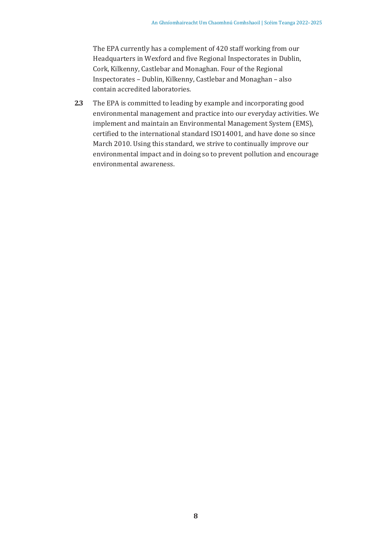The EPA currently has a complement of 420 staff working from our Headquarters in Wexford and five Regional Inspectorates in Dublin, Cork, Kilkenny, Castlebar and Monaghan. Four of the Regional Inspectorates – Dublin, Kilkenny, Castlebar and Monaghan – also contain accredited laboratories.

**2.3** The EPA is committed to leading by example and incorporating good environmental management and practice into our everyday activities. We implement and maintain an Environmental Management System (EMS), certified to the international standard ISO14001, and have done so since March 2010. Using this standard, we strive to continually improve our environmental impact and in doing so to prevent pollution and encourage environmental awareness.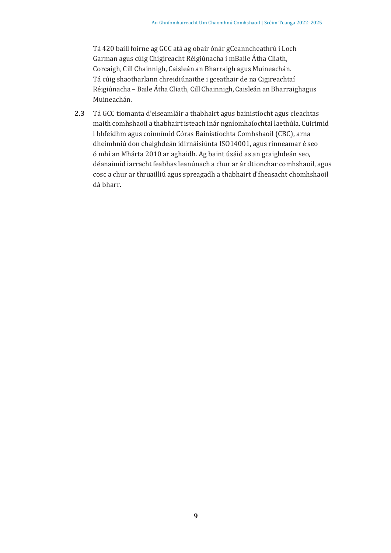Tá 420 baill foirne ag GCC atá ag obair ónár gCeanncheathrú i Loch Garman agus cúig Chigireacht Réigiúnacha i mBaile Átha Cliath, Corcaigh, Cill Chainnigh, Caisleán an Bharraigh agus Muineachán. Tá cúig shaotharlann chreidiúnaithe i gceathair de na Cigireachtaí Réigiúnacha – Baile Átha Cliath, Cill Chainnigh, Caisleán an Bharraighagus Muineachán.

**2.3** Tá GCC tiomanta d'eiseamláir a thabhairt agus bainistíocht agus cleachtas maith comhshaoil a thabhairt isteach inár ngníomhaíochtaí laethúla. Cuirimid i bhfeidhm agus coinnímid Córas Bainistíochta Comhshaoil (CBC), arna dheimhniú don chaighdeán idirnáisiúnta ISO14001, agus rinneamar é seo ó mhí an Mhárta 2010 ar aghaidh. Ag baint úsáid as an gcaighdeán seo, déanaimid iarracht feabhas leanúnach a chur ar ár dtionchar comhshaoil, agus cosc a chur ar thruailliú agus spreagadh a thabhairt d'fheasacht chomhshaoil dá bharr.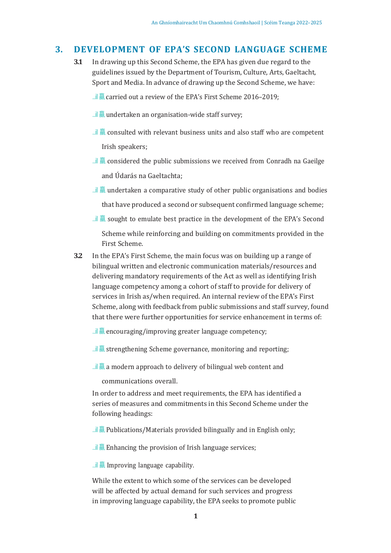### **3. DEVELOPMENT OF EPA'S SECOND LANGUAGE SCHEME**

- **3.1** In drawing up this Second Scheme, the EPA has given due regard to the guidelines issued by the Department of Tourism, Culture, Arts, Gaeltacht, Sport and Media. In advance of drawing up the Second Scheme, we have:
	- ..il  $\overline{\overline{\mathbb{R}}}$  carried out a review of the EPA's First Scheme 2016–2019;
	- ...il  $\overline{m}$  undertaken an organisation-wide staff survey;
	- ...il  $\overline{\overline{\mathbb{R}}}$  consulted with relevant business units and also staff who are competent Irish speakers;
	- ...il  $\overline{m}$  considered the public submissions we received from Conradh na Gaeilge and Údarás na Gaeltachta;
	- ...il  $\overline{m}$  undertaken a comparative study of other public organisations and bodies that have produced a second or subsequent confirmed language scheme;
	- ..il  $\overline{m}$  sought to emulate best practice in the development of the EPA's Second Scheme while reinforcing and building on commitments provided in the First Scheme.
- **3.2** In the EPA's First Scheme, the main focus was on building up a range of bilingual written and electronic communication materials/resources and delivering mandatory requirements of the Act as well as identifying Irish language competency among a cohort of staff to provide for delivery of services in Irish as/when required. An internal review of the EPA's First Scheme, along with feedback from public submissions and staff survey, found that there were further opportunities for service enhancement in terms of:
	- ..il  $\overline{m}$  encouraging/improving greater language competency;
	- ...il  $\bar{m}$  strengthening Scheme governance, monitoring and reporting;
	- ..il  $\overline{m}$  a modern approach to delivery of bilingual web content and

communications overall.

In order to address and meet requirements, the EPA has identified a series of measures and commitments in this Second Scheme under the following headings:

- ...il  $\overline{m}$  Publications/Materials provided bilingually and in English only;
- ... $\parallel \overline{m}$  Enhancing the provision of Irish language services;

..il 羸 Improving language capability.

While the extent to which some of the services can be developed will be affected by actual demand for such services and progress in improving language capability, the EPA seeks to promote public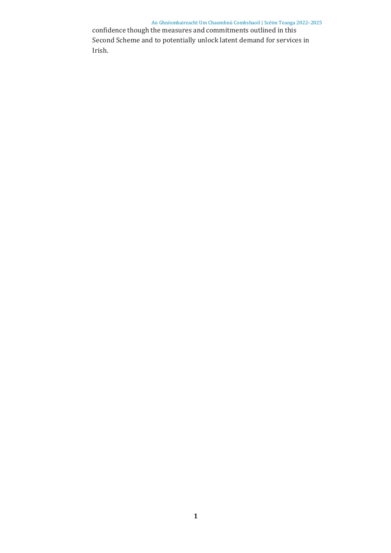An Ghníomhaireacht Um Chaomhnú Comhshaoil | Scéim Teanga 2022–2025 confidence though the measures and commitments outlined in this Second Scheme and to potentially unlock latent demand for services in Irish.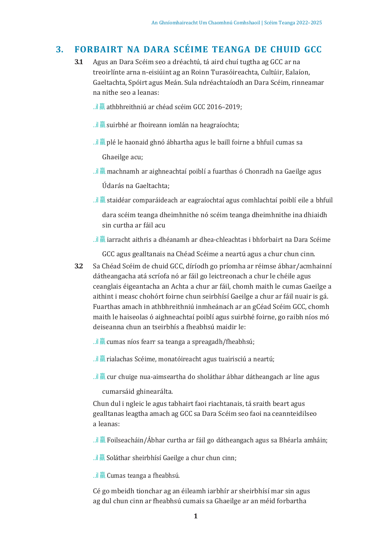### **3. FORBAIRT NA DARA SCÉIME TEANGA DE CHUID GCC**

- **3.1** Agus an Dara Scéim seo a dréachtú, tá aird chuí tugtha ag GCC ar na treoirlínte arna n-eisiúint ag an Roinn Turasóireachta, Cultúir, Ealaíon, Gaeltachta, Spóirt agus Meán. Sula ndréachtaíodh an Dara Scéim, rinneamar na nithe seo a leanas:
	- ...il 羸 athbhreithniú ar chéad scéim GCC 2016-2019;
	- ...il  $\overline{m}$  suirbhé ar fhoireann iomlán na heagraíochta;
	- ..il  $\frac{1}{\sqrt{m}}$  plé le haonaid ghnó ábhartha agus le baill foirne a bhfuil cumas sa

Ghaeilge acu;

- ..il 羸 machnamh ar aighneachtaí poiblí a fuarthas ó Chonradh na Gaeilge agus Údarás na Gaeltachta;
- ..il 羸 staidéar comparáideach ar eagraíochtaí agus comhlachtaí poiblí eile a bhfuil

dara scéim teanga dheimhnithe nó scéim teanga dheimhnithe ina dhiaidh sin curtha ar fáil acu

..il 羸 iarracht aithris a dhéanamh ar dhea-chleachtas i bhforbairt na Dara Scéime

GCC agus gealltanais na Chéad Scéime a neartú agus a chur chun cinn.

**3.2** Sa Chéad Scéim de chuid GCC, díríodh go príomha ar réimse ábhar/acmhainní dátheangacha atá scríofa nó ar fáil go leictreonach a chur le chéile agus ceanglais éigeantacha an Achta a chur ar fáil, chomh maith le cumas Gaeilge a aithint i measc chohórt foirne chun seirbhísí Gaeilge a chur ar fáil nuair is gá. Fuarthas amach in athbhreithniú inmheánach ar an gCéad Scéim GCC, chomh maith le haiseolas ó aighneachtaí poiblí agus suirbhé foirne, go raibh níos mó deiseanna chun an tseirbhís a fheabhsú maidir le:

...il  $\overline{m}$  cumas níos fearr sa teanga a spreagadh/fheabhsú;

..il 羸 rialachas Scéime, monatóireacht agus tuairisciú a neartú;

...il  $\frac{1}{\sqrt{m}}$  cur chuige nua-aimseartha do sholáthar ábhar dátheangach ar líne agus

cumarsáid ghinearálta.

Chun dul i ngleic le agus tabhairt faoi riachtanais, tá sraith beart agus gealltanas leagtha amach ag GCC sa Dara Scéim seo faoi na ceannteidilseo a leanas:

...il  $\frac{1}{\sqrt{m}}$  Foilseacháin/Ábhar curtha ar fáil go dátheangach agus sa Bhéarla amháin;

..il **A** Soláthar sheirbhísí Gaeilge a chur chun cinn;

..il 羸 Cumas teanga a fheabhsú.

Cé go mbeidh tionchar ag an éileamh iarbhír ar sheirbhísí mar sin agus ag dul chun cinn ar fheabhsú cumais sa Ghaeilge ar an méid forbartha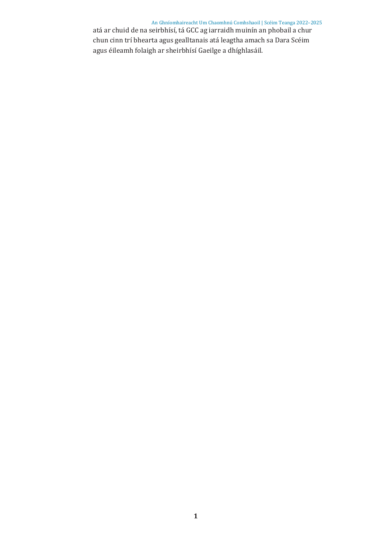An Ghníomhaireacht Um Chaomhnú Comhshaoil | Scéim Teanga 2022–2025 atá ar chuid de na seirbhísí, tá GCC ag iarraidh muinín an phobail a chur chun cinn trí bhearta agus gealltanais atá leagtha amach sa Dara Scéim agus éileamh folaigh ar sheirbhísí Gaeilge a dhíghlasáil.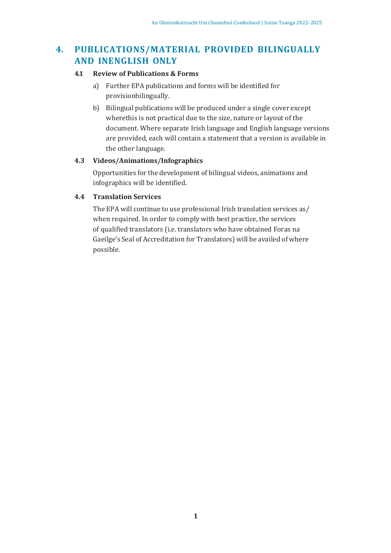# **4. PUBLICATIONS/MATERIAL PROVIDED BILINGUALLY AND INENGLISH ONLY**

### **4.1 Review of Publications & Forms**

- a) Further EPA publications and forms will be identified for provisionbilingually.
- b) Bilingual publications will be produced under a single cover except wherethis is not practical due to the size, nature or layout of the document. Where separate Irish language and English language versions are provided, each will contain a statement that a version is available in the other language.

### **4.3 Videos/Animations/Infographics**

Opportunities for the development of bilingual videos, animations and infographics will be identified.

### **4.4 Translation Services**

The EPA will continue to use professional Irish translation services as/ when required. In order to comply with best practice, the services of qualified translators (i.e. translators who have obtained Foras na Gaeilge's Seal of Accreditation for Translators) will be availed of where possible.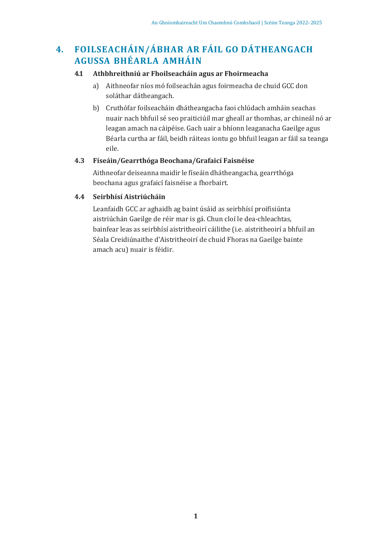# **4. FOILSEACHÁIN/ÁBHAR AR FÁIL GO DÁTHEANGACH AGUSSA BHÉARLA AMHÁIN**

### **4.1 Athbhreithniú ar Fhoilseacháin agus ar Fhoirmeacha**

- a) Aithneofar níos mó foilseachán agus foirmeacha de chuid GCC don soláthar dátheangach.
- b) Cruthófar foilseacháin dhátheangacha faoi chlúdach amháin seachas nuair nach bhfuil sé seo praiticiúil mar gheall ar thomhas, ar chineál nó ar leagan amach na cáipéise. Gach uair a bhíonn leaganacha Gaeilge agus Béarla curtha ar fáil, beidh ráiteas iontu go bhfuil leagan ar fáil sa teanga eile.

### **4.3 Físeáin/Gearrthóga Beochana/Grafaicí Faisnéise**

Aithneofar deiseanna maidir le físeáin dhátheangacha, gearrthóga beochana agus grafaicí faisnéise a fhorbairt.

### **4.4 Seirbhísí Aistriúcháin**

Leanfaidh GCC ar aghaidh ag baint úsáid as seirbhísí proifisiúnta aistriúchán Gaeilge de réir mar is gá. Chun cloí le dea-chleachtas, bainfear leas as seirbhísí aistritheoirí cáilithe (i.e. aistritheoirí a bhfuil an Séala Creidiúnaithe d'Aistritheoirí de chuid Fhoras na Gaeilge bainte amach acu) nuair is féidir.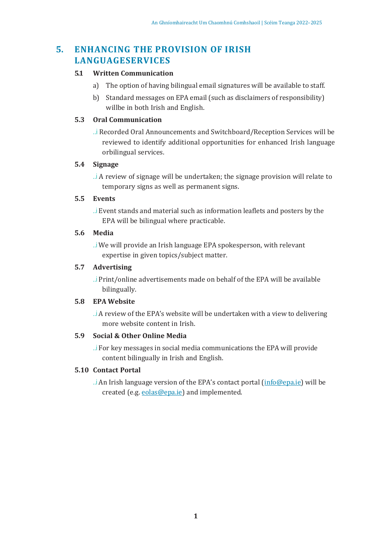## **5. ENHANCING THE PROVISION OF IRISH LANGUAGESERVICES**

#### **5.1 Written Communication**

- a) The option of having bilingual email signatures will be available to staff.
- b) Standard messages on EPA email (such as disclaimers of responsibility) willbe in both Irish and English.

### **5.3 Oral Communication**

..i Recorded Oral Announcements and Switchboard/Reception Services will be reviewed to identify additional opportunities for enhanced Irish language orbilingual services.

### **5.4 Signage**

..i A review of signage will be undertaken; the signage provision will relate to temporary signs as well as permanent signs.

### **5.5 Events**

..i Event stands and material such as information leaflets and posters by the EPA will be bilingual where practicable.

### **5.6 Media**

..i We will provide an Irish language EPA spokesperson, with relevant expertise in given topics/subject matter.

### **5.7 Advertising**

..i Print/online advertisements made on behalf of the EPA will be available bilingually.

#### **5.8 EPA Website**

..i A review of the EPA's website will be undertaken with a view to delivering more website content in Irish.

### **5.9 Social & Other Online Media**

..i For key messages in social media communications the EPA will provide content bilingually in Irish and English.

### **5.10 Contact Portal**

..i An Irish language version of the EPA's contact portal (info@epa.ie) will be created (e.g. eolas@epa.ie) and implemented.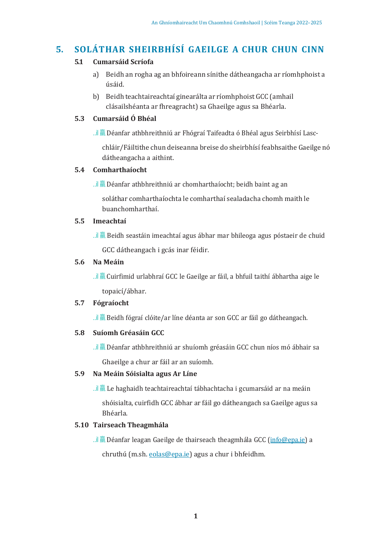# **5. SOLÁTHAR SHEIRBHÍSÍ GAEILGE A CHUR CHUN CINN**

### **5.1 Cumarsáid Scríofa**

- a) Beidh an rogha ag an bhfoireann sínithe dátheangacha ar ríomhphoist a úsáid.
- b) Beidh teachtaireachtaí ginearálta ar ríomhphoist GCC (amhail clásailshéanta ar fhreagracht) sa Ghaeilge agus sa Bhéarla.

### **5.3 Cumarsáid Ó Bhéal**

..il **A** Déanfar athbhreithniú ar Fhógraí Taifeadta ó Bhéal agus Seirbhísí Lasc-

chláir/Fáiltithe chun deiseanna breise do sheirbhísí feabhsaithe Gaeilge nó dátheangacha a aithint.

### **5.4 Comharthaíocht**

..il 羸 Déanfar athbhreithniú ar chomharthaíocht; beidh baint ag an

soláthar comharthaíochta le comharthaí sealadacha chomh maith le buanchomharthaí.

### **5.5 Imeachtaí**

..il 羸 Beidh seastáin imeachtaí agus ábhar mar bhileoga agus póstaeir de chuid

GCC dátheangach i gcás inar féidir.

### **5.6 Na Meáin**

..il 羸 Cuirfimid urlabhraí GCC le Gaeilge ar fáil, a bhfuil taithí ábhartha aige le topaicí/ábhar.

### **5.7 Fógraíocht**

..il 羸 Beidh fógraí clóite/ar líne déanta ar son GCC ar fáil go dátheangach.

### **5.8 Suíomh Gréasáin GCC**

..il 羸 Déanfar athbhreithniú ar shuíomh gréasáin GCC chun níos mó ábhair sa Ghaeilge a chur ar fáil ar an suíomh.

### **5.9 Na Meáin Sóisialta agus Ar Líne**

..il 羸 Le haghaidh teachtaireachtaí tábhachtacha i gcumarsáid ar na meáin shóisialta, cuirfidh GCC ábhar ar fáil go dátheangach sa Gaeilge agus sa Bhéarla.

### **5.10 Tairseach Theagmhála**

..il **A** Déanfar leagan Gaeilge de thairseach theagmhála GCC (info@epa.ie) a chruthú (m.sh. eolas@epa.ie) agus a chur i bhfeidhm.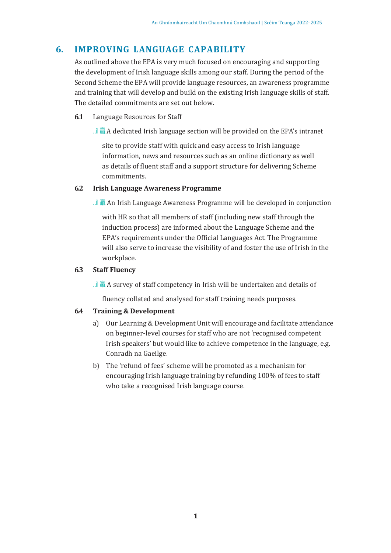### **6. IMPROVING LANGUAGE CAPABILITY**

As outlined above the EPA is very much focused on encouraging and supporting the development of Irish language skills among our staff. During the period of the Second Scheme the EPA will provide language resources, an awareness programme and training that will develop and build on the existing Irish language skills of staff. The detailed commitments are set out below.

**6.1** Language Resources for Staff

...il  $\overline{m}$  A dedicated Irish language section will be provided on the EPA's intranet

site to provide staff with quick and easy access to Irish language information, news and resources such as an online dictionary as well as details of fluent staff and a support structure for delivering Scheme commitments.

#### **6.2 Irish Language Awareness Programme**

...il  $\overline{m}$  An Irish Language Awareness Programme will be developed in conjunction

with HR so that all members of staff (including new staff through the induction process) are informed about the Language Scheme and the EPA's requirements under the Official Languages Act. The Programme will also serve to increase the visibility of and foster the use of Irish in the workplace.

### **6.3 Staff Fluency**

...il  $\overline{m}$  A survey of staff competency in Irish will be undertaken and details of

fluency collated and analysed for staff training needs purposes.

#### **6.4 Training & Development**

- a) Our Learning & Development Unit will encourage and facilitate attendance on beginner-level courses for staff who are not 'recognised competent Irish speakers' but would like to achieve competence in the language, e.g. Conradh na Gaeilge.
- b) The 'refund of fees' scheme will be promoted as a mechanism for encouraging Irish language training by refunding 100% of fees to staff who take a recognised Irish language course.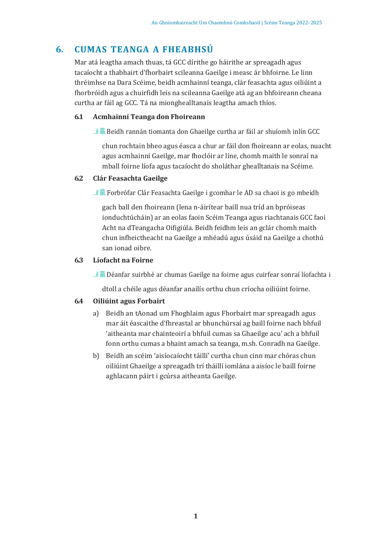# **6. CUMAS TEANGA A FHEABHSÚ**

Mar atá leagtha amach thuas, tá GCC dírithe go háirithe ar spreagadh agus tacaíocht a thabhairt d'fhorbairt scileanna Gaeilge i measc ár bhfoirne. Le linn thréimhse na Dara Scéime, beidh acmhainní teanga, clár feasachta agus oiliúint a fhorbróidh agus a chuirfidh leis na scileanna Gaeilge atá ag an bhfoireann cheana curtha ar fáil ag GCC. Tá na mionghealltanais leagtha amach thíos.

### **6.1 Acmhainní Teanga don Fhoireann**

..il **A** Beidh rannán tiomanta don Ghaeilge curtha ar fáil ar shuíomh inlín GCC

chun rochtain bheo agus éasca a chur ar fáil don fhoireann ar eolas, nuacht agus acmhainní Gaeilge, mar fhoclóir ar líne, chomh maith le sonraí na mball foirne líofa agus tacaíocht do sholáthar ghealltanais na Scéime.

### **6.2 Clár Feasachta Gaeilge**

...il **o** Forbrófar Clár Feasachta Gaeilge i gcomhar le AD sa chaoi is go mbeidh

gach ball den fhoireann (lena n-áirítear baill nua tríd an bpróiseas ionduchtúcháin) ar an eolas faoin Scéim Teanga agus riachtanais GCC faoi Acht na dTeangacha Oifigiúla. Beidh feidhm leis an gclár chomh maith chun infheictheacht na Gaeilge a mhéadú agus úsáid na Gaeilge a chothú san ionad oibre.

### **6.3 Líofacht na Foirne**

..il 羸 Déanfar suirbhé ar chumas Gaeilge na foirne agus cuirfear sonraí líofachta i

dtoll a chéile agus déanfar anailís orthu chun críocha oiliúint foirne.

#### **6.4 Oiliúint agus Forbairt**

- a) Beidh an tAonad um Fhoghlaim agus Fhorbairt mar spreagadh agus mar áit éascaithe d'fhreastal ar bhunchúrsaí ag baill foirne nach bhfuil 'aitheanta mar chainteoirí a bhfuil cumas sa Ghaeilge acu' ach a bhfuil fonn orthu cumas a bhaint amach sa teanga, m.sh. Conradh na Gaeilge.
- b) Beidh an scéim 'aisíocaíocht táillí' curtha chun cinn mar chóras chun oiliúint Ghaeilge a spreagadh trí tháillí iomlána a aisíoc le baill foirne aghlacann páirt i gcúrsa aitheanta Gaeilge.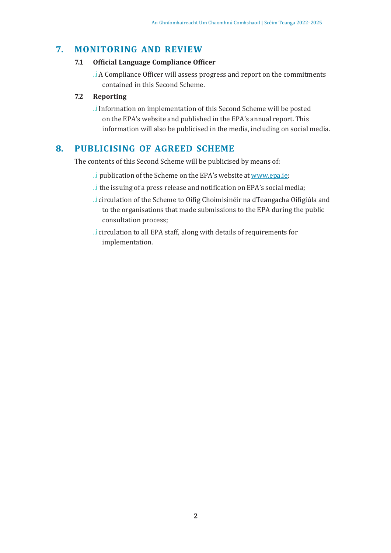### **7. MONITORING AND REVIEW**

### **7.1 Official Language Compliance Officer**

..i A Compliance Officer will assess progress and report on the commitments contained in this Second Scheme.

### **7.2 Reporting**

..i Information on implementation of this Second Scheme will be posted on the EPA's website and published in the EPA's annual report. This information will also be publicised in the media, including on social media.

### **8. PUBLICISING OF AGREED SCHEME**

The contents of this Second Scheme will be publicised by means of:

- ... i publication of the Scheme on the EPA's website at www.epa.ie;
- ..i the issuing of a press release and notification on EPA's social media;
- ..i circulation of the Scheme to Oifig Choimisinéir na dTeangacha Oifigiúla and to the organisations that made submissions to the EPA during the public consultation process;
- ..i circulation to all EPA staff, along with details of requirements for implementation.